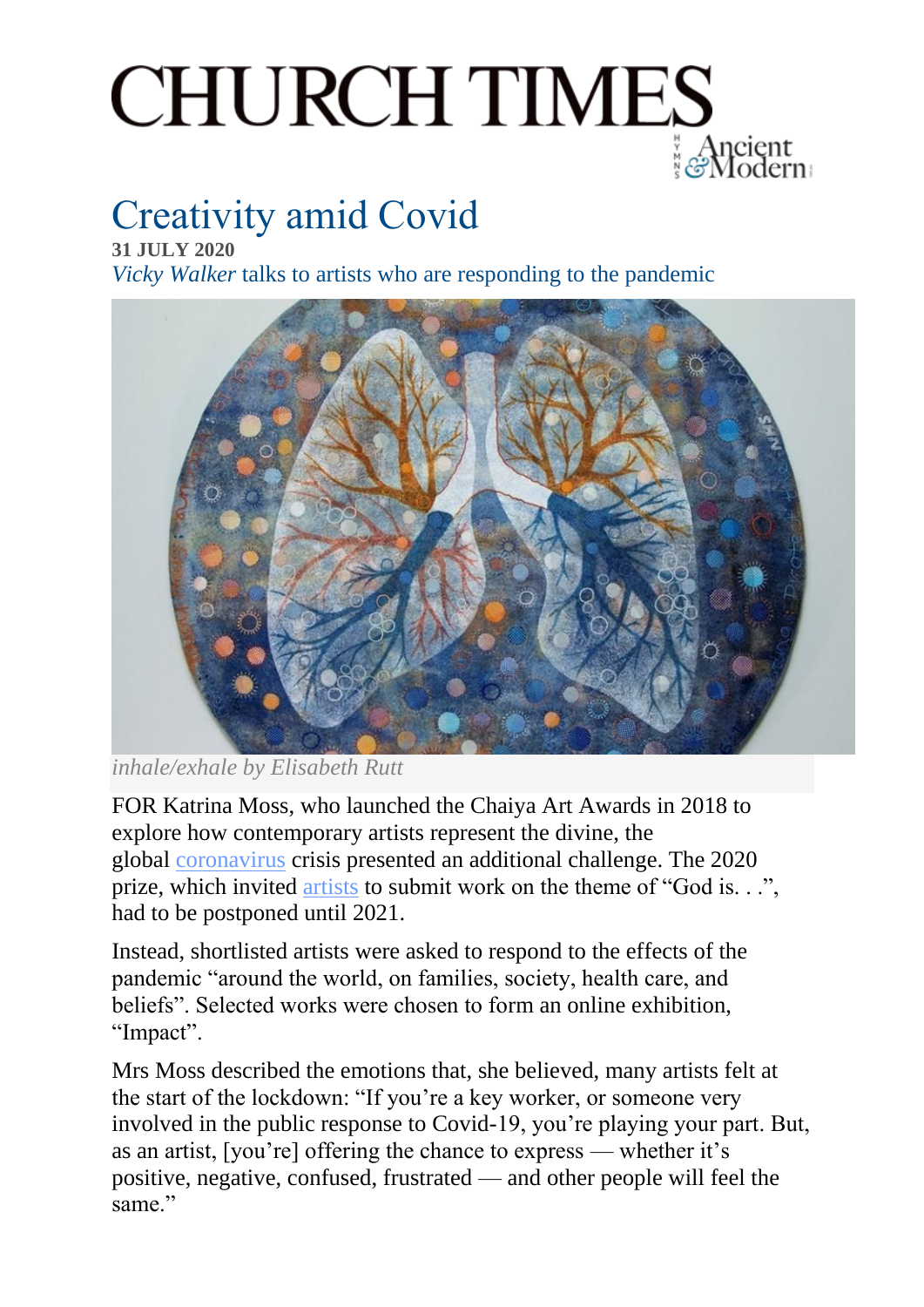# **CHURCH TIMES**

## Creativity amid Covid

**31 JULY 2020** *Vicky Walker* talks to artists who are responding to the pandemic



*inhale/exhale by Elisabeth Rutt*

FOR Katrina Moss, who launched the Chaiya Art Awards in 2018 to explore how contemporary artists represent the divine, the global [coronavirus](https://www.churchtimes.co.uk/topics/coronavirus) crisis presented an additional challenge. The 2020 prize, which invited [artists](https://www.churchtimes.co.uk/topics/art) to submit work on the theme of "God is. . .", had to be postponed until 2021.

Instead, shortlisted artists were asked to respond to the effects of the pandemic "around the world, on families, society, health care, and beliefs". Selected works were chosen to form an online exhibition, "Impact".

Mrs Moss described the emotions that, she believed, many artists felt at the start of the lockdown: "If you're a key worker, or someone very involved in the public response to Covid-19, you're playing your part. But, as an artist, [you're] offering the chance to express — whether it's positive, negative, confused, frustrated — and other people will feel the same."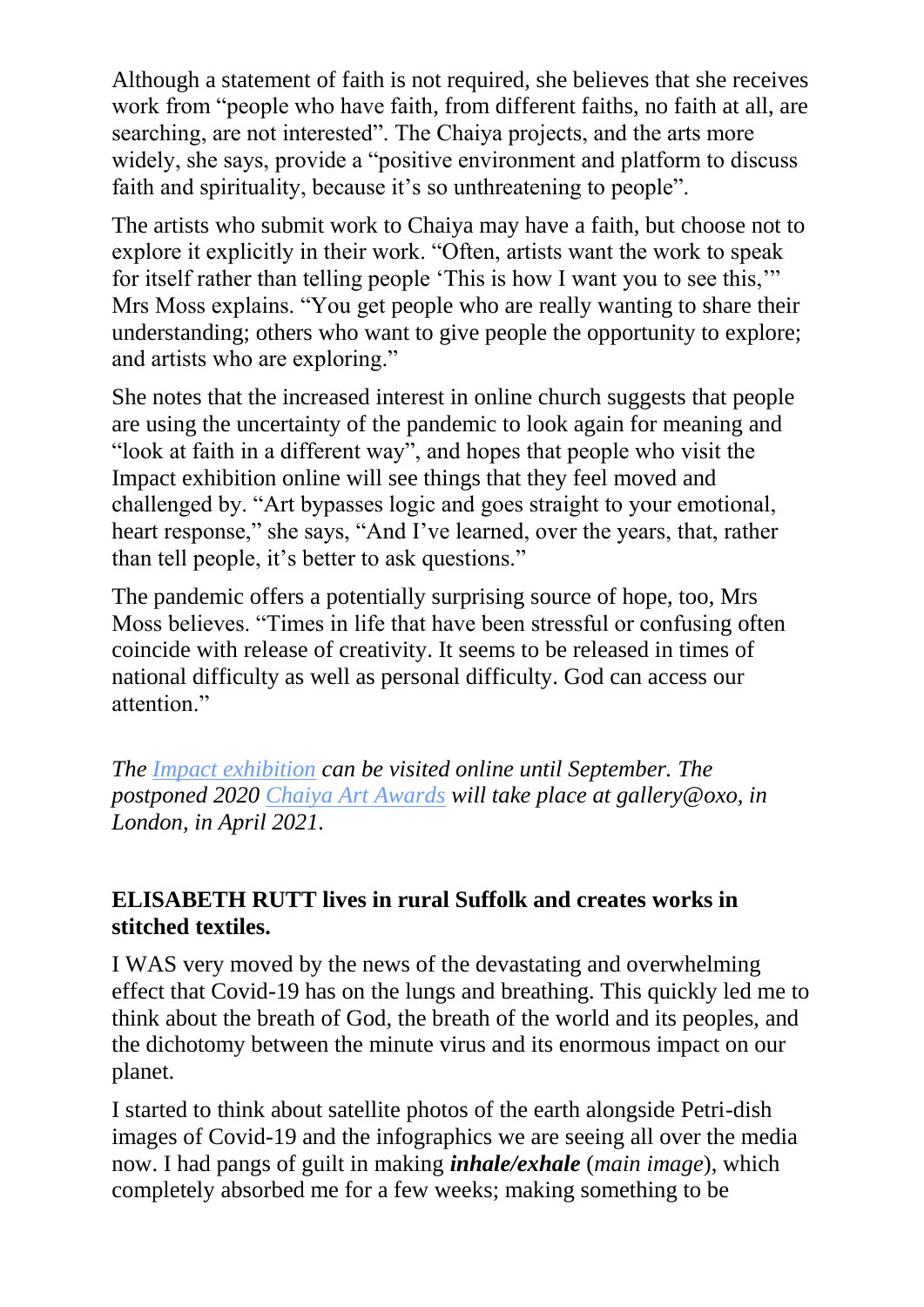Although a statement of faith is not required, she believes that she receives work from "people who have faith, from different faiths, no faith at all, are searching, are not interested". The Chaiya projects, and the arts more widely, she says, provide a "positive environment and platform to discuss faith and spirituality, because it's so unthreatening to people".

The artists who submit work to Chaiya may have a faith, but choose not to explore it explicitly in their work. "Often, artists want the work to speak for itself rather than telling people 'This is how I want you to see this,'" Mrs Moss explains. "You get people who are really wanting to share their understanding; others who want to give people the opportunity to explore; and artists who are exploring."

She notes that the increased interest in online church suggests that people are using the uncertainty of the pandemic to look again for meaning and "look at faith in a different way", and hopes that people who visit the Impact exhibition online will see things that they feel moved and challenged by. "Art bypasses logic and goes straight to your emotional, heart response," she says, "And I've learned, over the years, that, rather than tell people, it's better to ask questions."

The pandemic offers a potentially surprising source of hope, too, Mrs Moss believes. "Times in life that have been stressful or confusing often coincide with release of creativity. It seems to be released in times of national difficulty as well as personal difficulty. God can access our attention."

*The [Impact exhibition](https://chaiyaartawards.co.uk/impact) can be visited online until September. The postponed 2020 [Chaiya Art Awards](https://chaiyaartawards.co.uk/) will take place at gallery@oxo, in London, in April 2021.*

#### **ELISABETH RUTT lives in rural Suffolk and creates works in stitched textiles.**

I WAS very moved by the news of the devastating and overwhelming effect that Covid-19 has on the lungs and breathing. This quickly led me to think about the breath of God, the breath of the world and its peoples, and the dichotomy between the minute virus and its enormous impact on our planet.

I started to think about satellite photos of the earth alongside Petri-dish images of Covid-19 and the infographics we are seeing all over the media now. I had pangs of guilt in making *inhale/exhale* (*main image*), which completely absorbed me for a few weeks; making something to be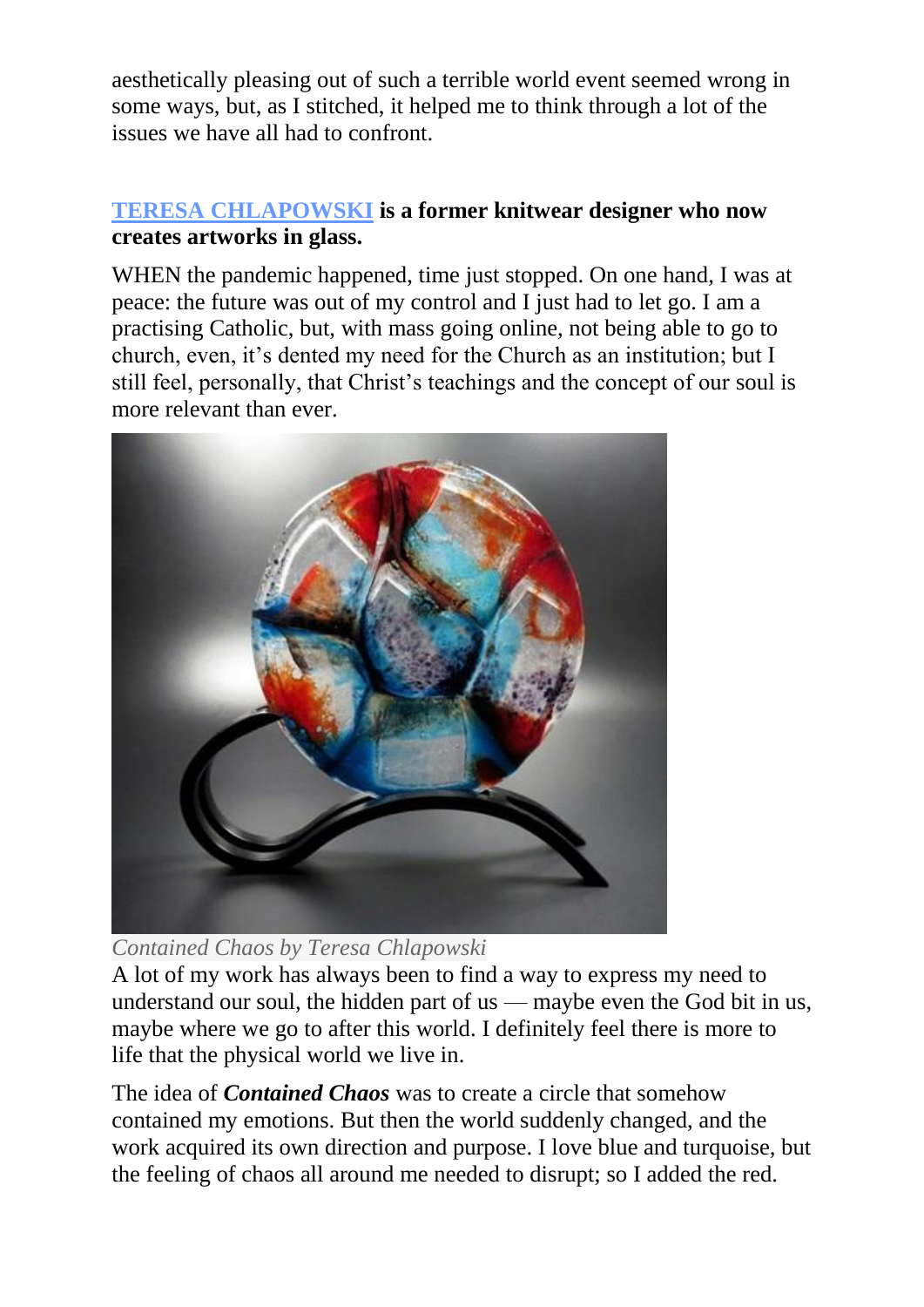aesthetically pleasing out of such a terrible world event seemed wrong in some ways, but, as I stitched, it helped me to think through a lot of the issues we have all had to confront.

#### **[TERESA CHLAPOWSKI](http://teresachlapowski.co.uk/) is a former knitwear designer who now creates artworks in glass.**

WHEN the pandemic happened, time just stopped. On one hand, I was at peace: the future was out of my control and I just had to let go. I am a practising Catholic, but, with mass going online, not being able to go to church, even, it's dented my need for the Church as an institution; but I still feel, personally, that Christ's teachings and the concept of our soul is more relevant than ever.



*Contained Chaos by Teresa Chlapowski*

A lot of my work has always been to find a way to express my need to understand our soul, the hidden part of us — maybe even the God bit in us, maybe where we go to after this world. I definitely feel there is more to life that the physical world we live in.

The idea of *Contained Chaos* was to create a circle that somehow contained my emotions. But then the world suddenly changed, and the work acquired its own direction and purpose. I love blue and turquoise, but the feeling of chaos all around me needed to disrupt; so I added the red.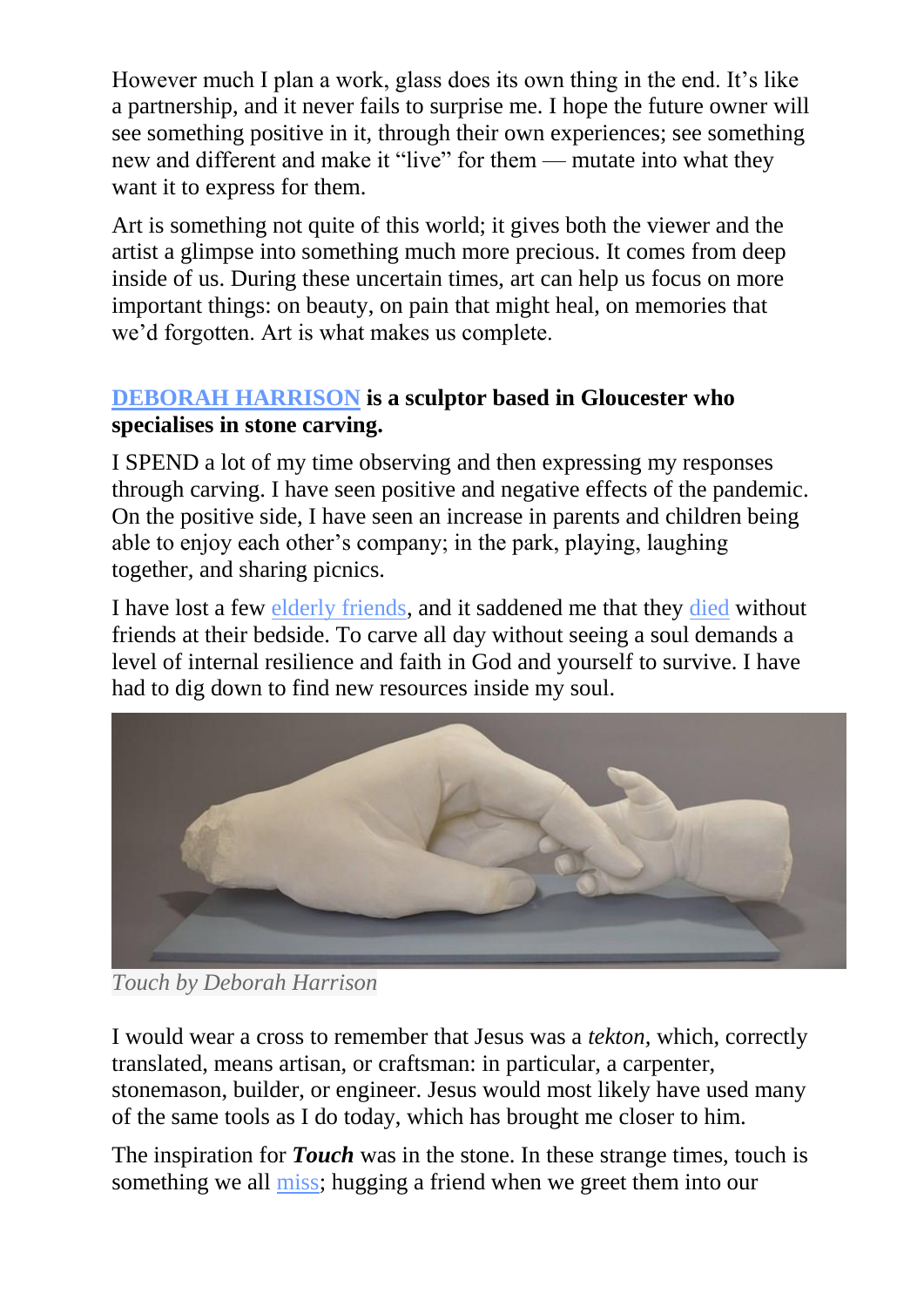However much I plan a work, glass does its own thing in the end. It's like a partnership, and it never fails to surprise me. I hope the future owner will see something positive in it, through their own experiences; see something new and different and make it "live" for them — mutate into what they want it to express for them.

Art is something not quite of this world; it gives both the viewer and the artist a glimpse into something much more precious. It comes from deep inside of us. During these uncertain times, art can help us focus on more important things: on beauty, on pain that might heal, on memories that we'd forgotten. Art is what makes us complete.

#### **[DEBORAH HARRISON](http://www.debsharrison-sculptor.co.uk/) is a sculptor based in Gloucester who specialises in stone carving.**

I SPEND a lot of my time observing and then expressing my responses through carving. I have seen positive and negative effects of the pandemic. On the positive side, I have seen an increase in parents and children being able to enjoy each other's company; in the park, playing, laughing together, and sharing picnics.

I have lost a few [elderly friends,](https://www.churchtimes.co.uk/topics/elderlyolder-people) and it saddened me that they [died](https://www.churchtimes.co.uk/topics/deathdying) without friends at their bedside. To carve all day without seeing a soul demands a level of internal resilience and faith in God and yourself to survive. I have had to dig down to find new resources inside my soul.



*Touch by Deborah Harrison*

I would wear a cross to remember that Jesus was a *tekton,* which, correctly translated, means artisan, or craftsman: in particular, a carpenter, stonemason, builder, or engineer. Jesus would most likely have used many of the same tools as I do today, which has brought me closer to him.

The inspiration for *Touch* was in the stone. In these strange times, touch is something we all [miss;](https://www.churchtimes.co.uk/topics/loneliness) hugging a friend when we greet them into our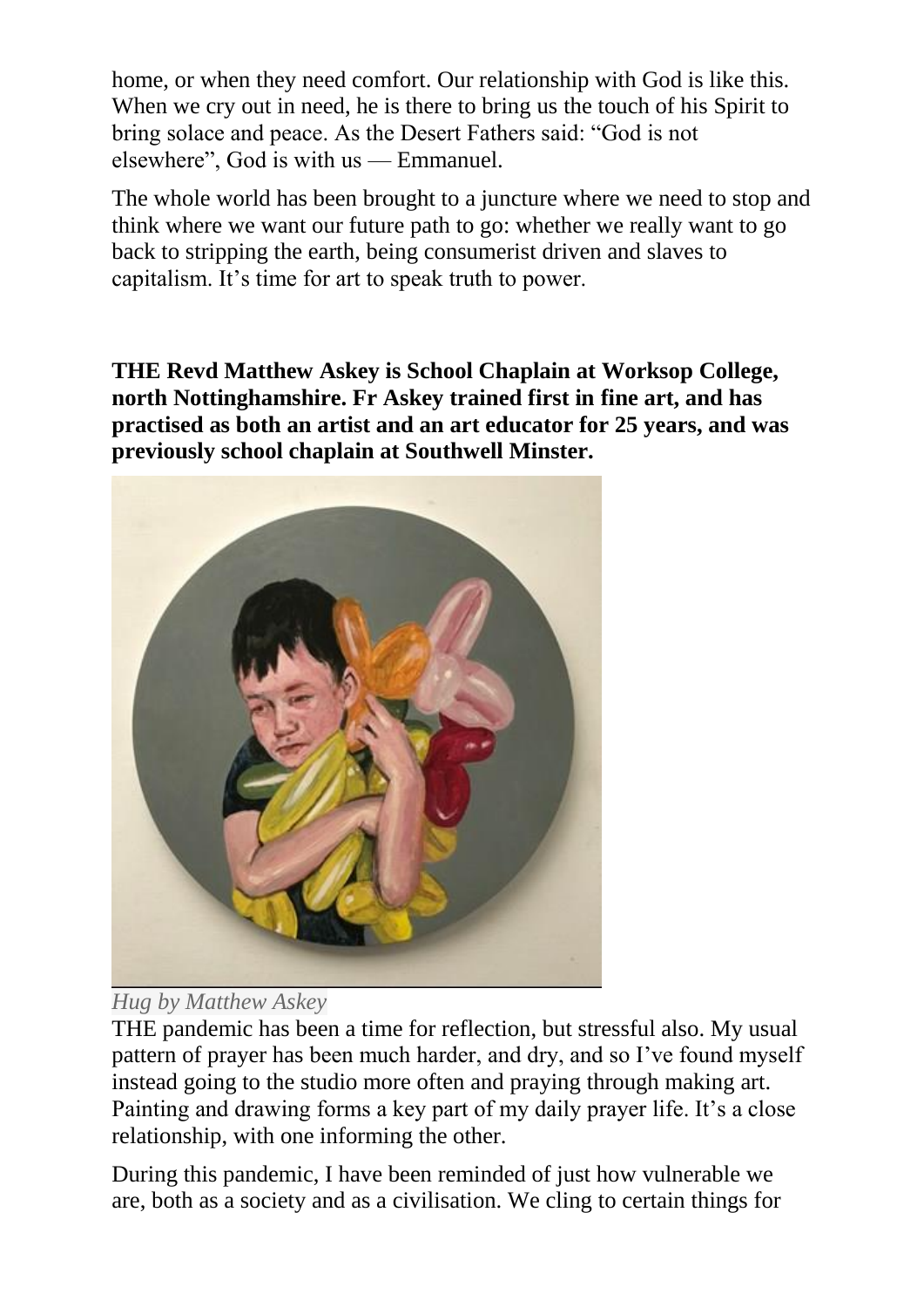home, or when they need comfort. Our relationship with God is like this. When we cry out in need, he is there to bring us the touch of his Spirit to bring solace and peace. As the Desert Fathers said: "God is not elsewhere", God is with us — Emmanuel.

The whole world has been brought to a juncture where we need to stop and think where we want our future path to go: whether we really want to go back to stripping the earth, being consumerist driven and slaves to capitalism. It's time for art to speak truth to power.

**THE Revd Matthew Askey is School Chaplain at Worksop College, north Nottinghamshire. Fr Askey trained first in fine art, and has practised as both an artist and an art educator for 25 years, and was previously school chaplain at Southwell Minster.**





THE pandemic has been a time for reflection, but stressful also. My usual pattern of prayer has been much harder, and dry, and so I've found myself instead going to the studio more often and praying through making art. Painting and drawing forms a key part of my daily prayer life. It's a close relationship, with one informing the other.

During this pandemic, I have been reminded of just how vulnerable we are, both as a society and as a civilisation. We cling to certain things for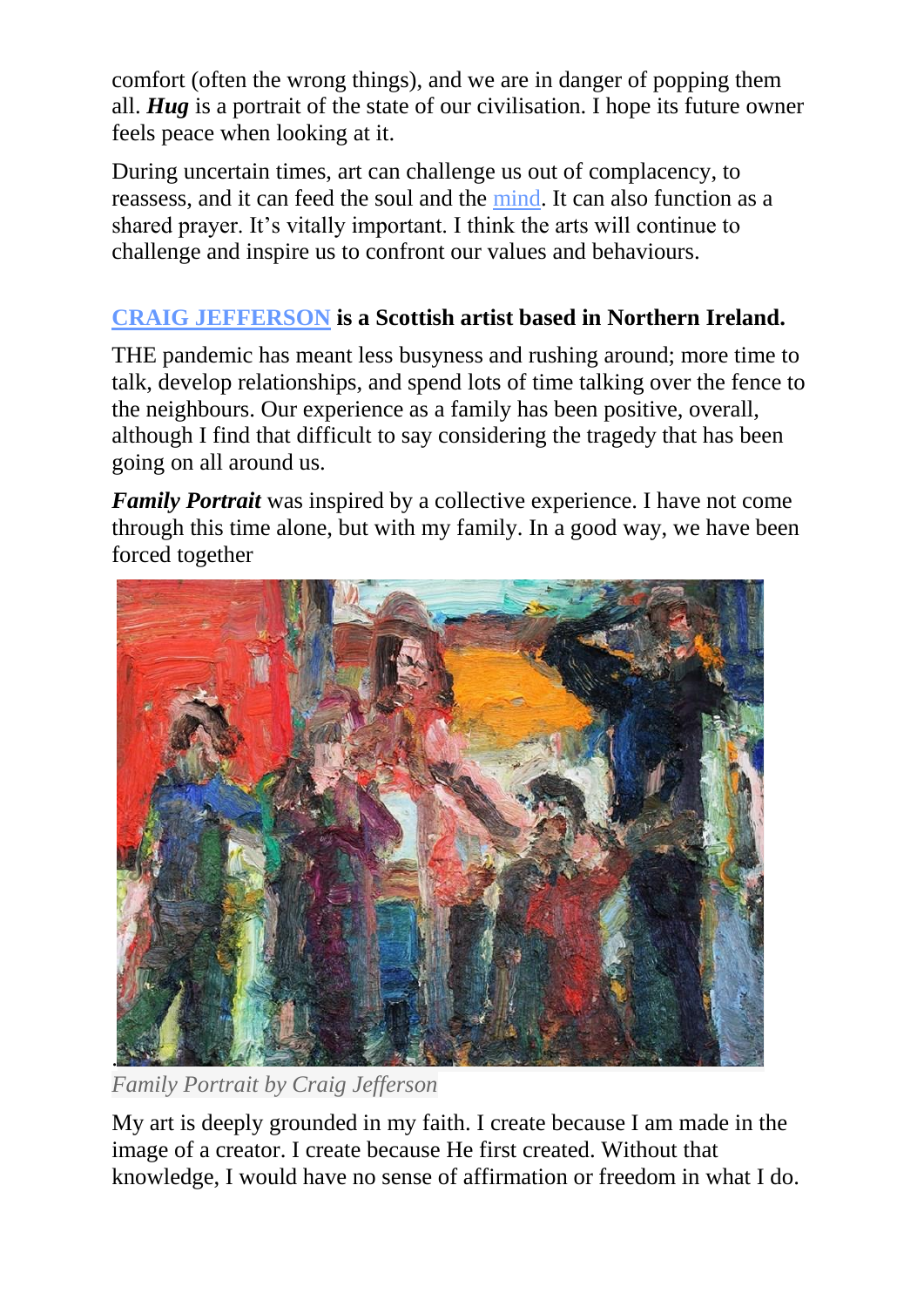comfort (often the wrong things), and we are in danger of popping them all. *Hug* is a portrait of the state of our civilisation. I hope its future owner feels peace when looking at it.

During uncertain times, art can challenge us out of complacency, to reassess, and it can feed the soul and the [mind.](https://www.churchtimes.co.uk/topics/mental-health) It can also function as a shared prayer. It's vitally important. I think the arts will continue to challenge and inspire us to confront our values and behaviours.

### **[CRAIG JEFFERSON](http://www.craigjefferson.com/) is a Scottish artist based in Northern Ireland.**

THE pandemic has meant less busyness and rushing around; more time to talk, develop relationships, and spend lots of time talking over the fence to the neighbours. Our experience as a family has been positive, overall, although I find that difficult to say considering the tragedy that has been going on all around us.

*Family Portrait* was inspired by a collective experience. I have not come through this time alone, but with my family. In a good way, we have been forced together



*Family Portrait by Craig Jefferson*

My art is deeply grounded in my faith. I create because I am made in the image of a creator. I create because He first created. Without that knowledge, I would have no sense of affirmation or freedom in what I do.